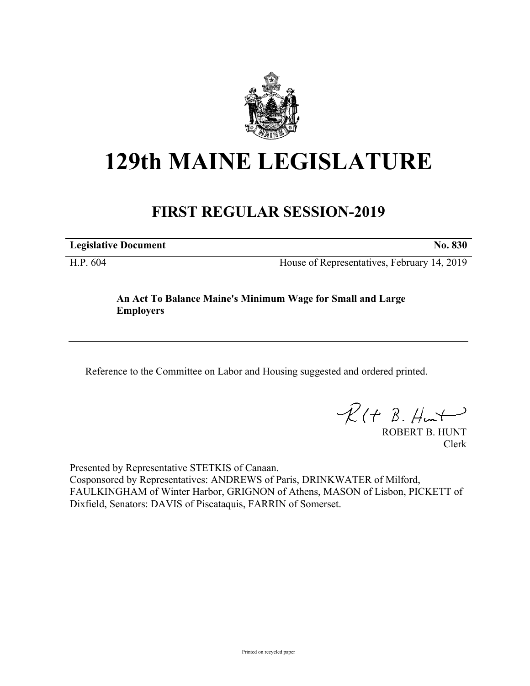

## **129th MAINE LEGISLATURE**

## **FIRST REGULAR SESSION-2019**

**Legislative Document No. 830**

H.P. 604 House of Representatives, February 14, 2019

## **An Act To Balance Maine's Minimum Wage for Small and Large Employers**

Reference to the Committee on Labor and Housing suggested and ordered printed.

 $R(t B. Hmt)$ 

ROBERT B. HUNT Clerk

Presented by Representative STETKIS of Canaan. Cosponsored by Representatives: ANDREWS of Paris, DRINKWATER of Milford, FAULKINGHAM of Winter Harbor, GRIGNON of Athens, MASON of Lisbon, PICKETT of Dixfield, Senators: DAVIS of Piscataquis, FARRIN of Somerset.